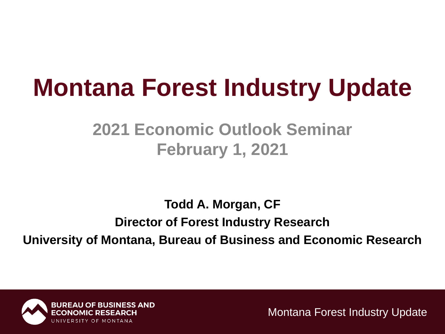#### **Montana Forest Industry Update**

#### **2021 Economic Outlook Seminar February 1, 2021**

**Todd A. Morgan, CF Director of Forest Industry Research University of Montana, Bureau of Business and Economic Research**

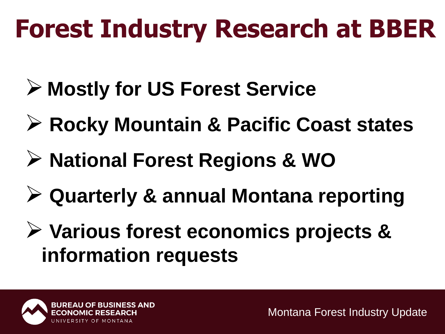# **Forest Industry Research at BBER**

- ➢ **Mostly for US Forest Service**
- ➢ **Rocky Mountain & Pacific Coast states**
- ➢ **National Forest Regions & WO**
- ➢ **Quarterly & annual Montana reporting**
- ➢ **Various forest economics projects & information requests**

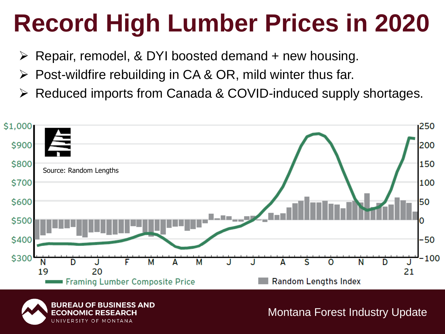## **Record High Lumber Prices in 2020**

- $\triangleright$  Repair, remodel, & DYI boosted demand + new housing.
- $\triangleright$  Post-wildfire rebuilding in CA & OR, mild winter thus far.
- Reduced imports from Canada & COVID-induced supply shortages.



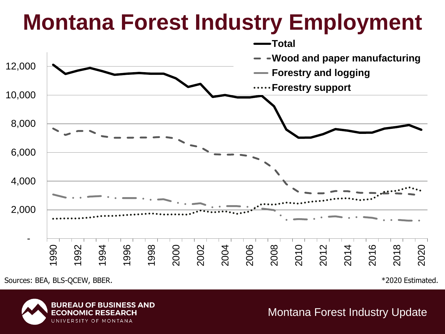#### **Montana Forest Industry Employment**



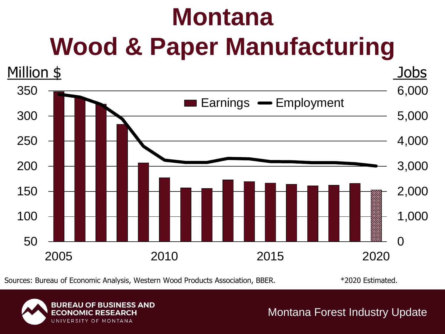## **Montana Wood & Paper Manufacturing**



Sources: Bureau of Economic Analysis, Western Wood Products Association, BBER. \*2020 Estimated.

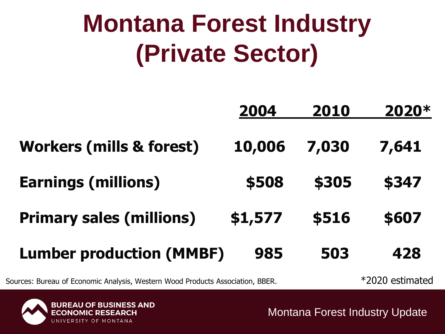#### **Montana Forest Industry (Private Sector)**

|                                     | 2004    | 2010  | 2020* |
|-------------------------------------|---------|-------|-------|
| <b>Workers (mills &amp; forest)</b> | 10,006  | 7,030 | 7,641 |
| <b>Earnings (millions)</b>          | \$508   | \$305 | \$347 |
| <b>Primary sales (millions)</b>     | \$1,577 | \$516 | \$607 |
| <b>Lumber production (MMBF)</b>     | 985     | 503   | 428   |

Sources: Bureau of Economic Analysis, Western Wood Products Association, BBER. \*2020 estimated

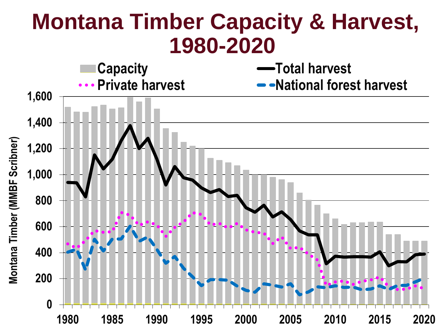#### **Montana Timber Capacity & Harvest, 1980-2020**

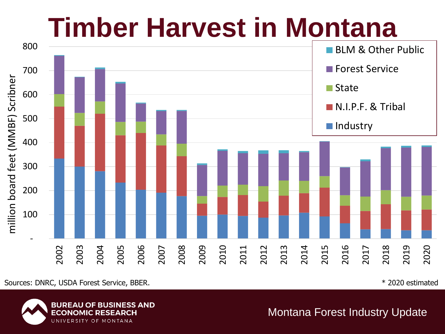## **Timber Harvest in Montana**



Sources: DNRC, USDA Forest Service, BBER. The state of the state of the state of the state of the state of the state of the state of the state of the state of the state of the state of the state of the state of the state o

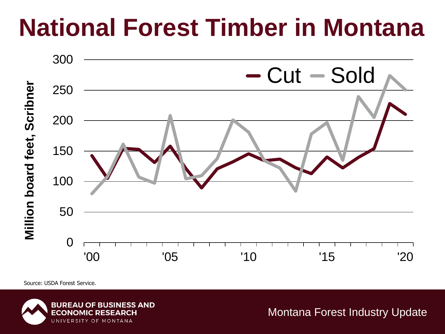#### **National Forest Timber in Montana**



Source: USDA Forest Service.

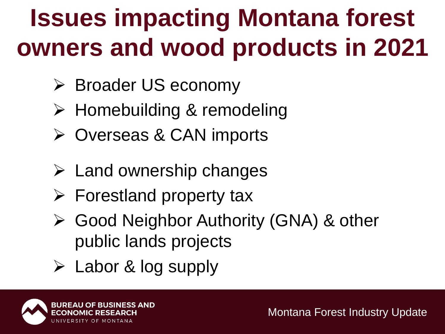# **Issues impacting Montana forest owners and wood products in 2021**

- ➢ Broader US economy
- ➢ Homebuilding & remodeling
- ➢ Overseas & CAN imports
- $\triangleright$  Land ownership changes
- $\triangleright$  Forestland property tax
- ➢ Good Neighbor Authority (GNA) & other public lands projects
- ➢ Labor & log supply

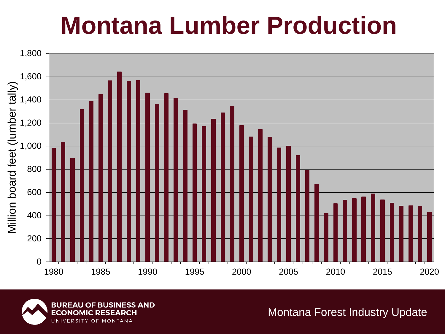#### **Montana Lumber Production**



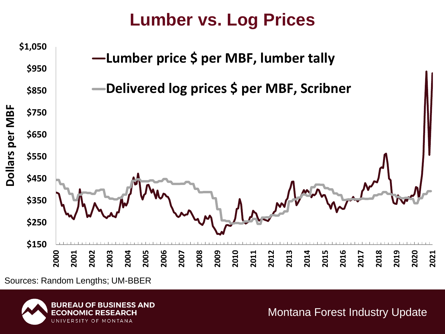#### **Lumber vs. Log Prices**



Sources: Random Lengths; UM-BBER

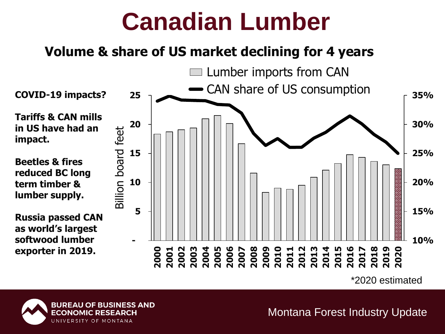#### **Canadian Lumber**

#### **Volume & share of US market declining for 4 years**



\*2020 estimated



**impact.**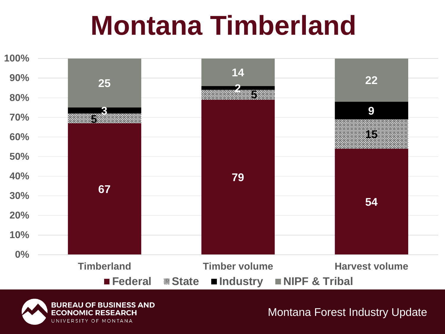# **Montana Timberland**

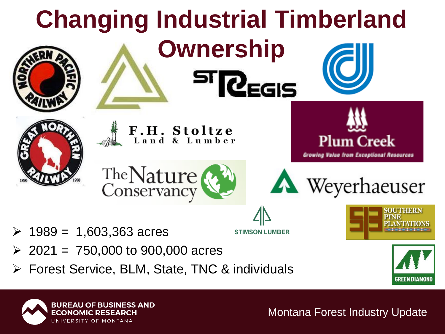

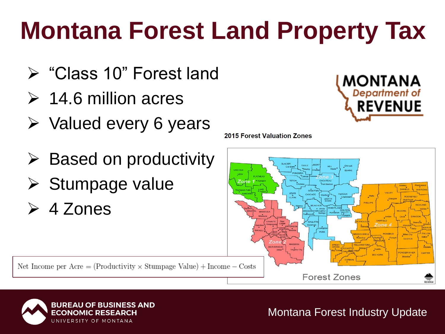# **Montana Forest Land Property Tax**

- ➢ "Class 10" Forest land
- $\geq 14.6$  million acres
- ➢ Valued every 6 years
- $\triangleright$  Based on productivity
- ➢ Stumpage value
- ➢ 4 Zones



2015 Forest Valuation Zones